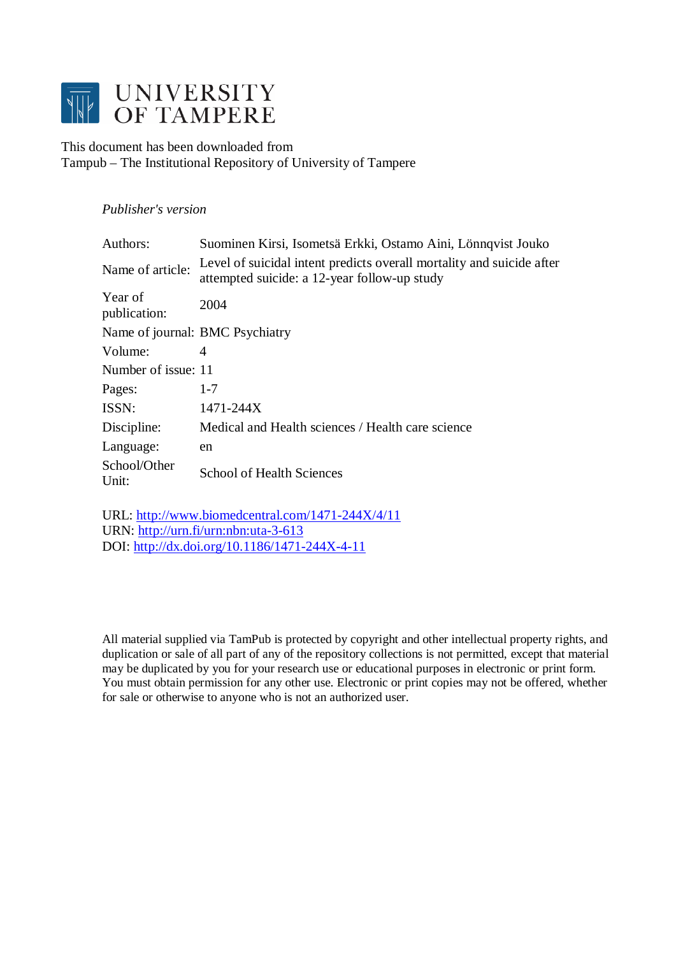

This document has been downloaded from Tampub – The Institutional Repository of University of Tampere

# *Publisher's version*

| Authors:                | Suominen Kirsi, Isometsä Erkki, Ostamo Aini, Lönnqvist Jouko                                                          |
|-------------------------|-----------------------------------------------------------------------------------------------------------------------|
| Name of article:        | Level of suicidal intent predicts overall mortality and suicide after<br>attempted suicide: a 12-year follow-up study |
| Year of<br>publication: | 2004                                                                                                                  |
|                         | Name of journal: BMC Psychiatry                                                                                       |
| Volume:                 | 4                                                                                                                     |
| Number of issue: 11     |                                                                                                                       |
| Pages:                  | $1 - 7$                                                                                                               |
| ISSN:                   | 1471-244X                                                                                                             |
| Discipline:             | Medical and Health sciences / Health care science                                                                     |
| Language:               | en                                                                                                                    |
| School/Other<br>Unit:   | <b>School of Health Sciences</b>                                                                                      |

URL:<http://www.biomedcentral.com/1471-244X/4/11> URN: <http://urn.fi/urn:nbn:uta-3-613> DOI: <http://dx.doi.org/10.1186/1471-244X-4-11>

All material supplied via TamPub is protected by copyright and other intellectual property rights, and duplication or sale of all part of any of the repository collections is not permitted, except that material may be duplicated by you for your research use or educational purposes in electronic or print form. You must obtain permission for any other use. Electronic or print copies may not be offered, whether for sale or otherwise to anyone who is not an authorized user.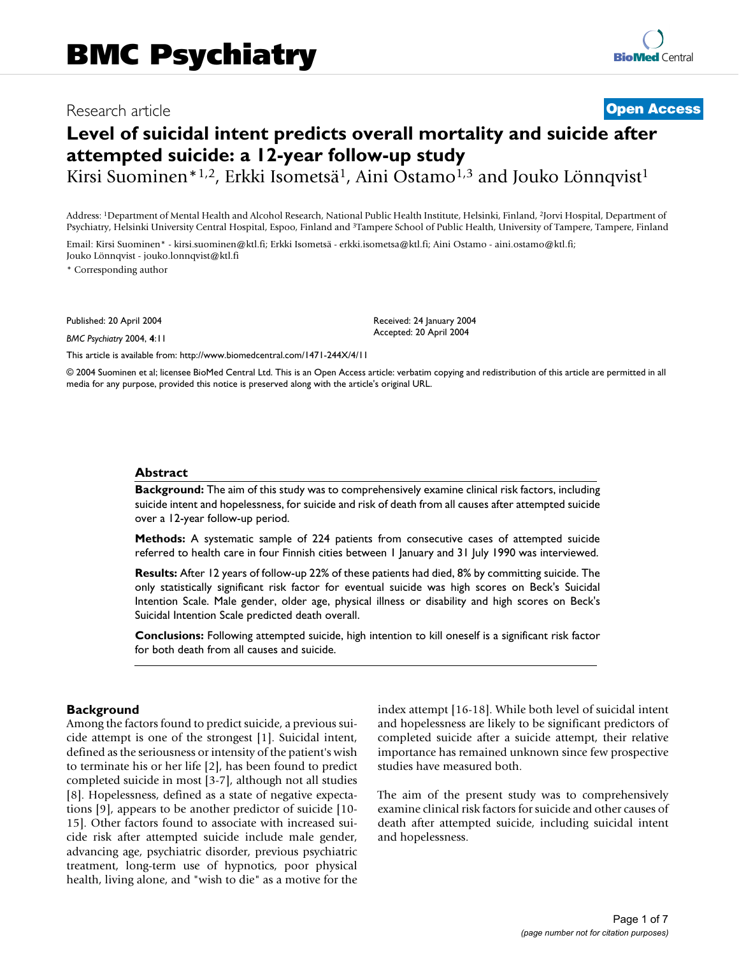# Research article **[Open Access](http://www.biomedcentral.com/info/about/charter/)**

# **Level of suicidal intent predicts overall mortality and suicide after attempted suicide: a 12-year follow-up study**

Kirsi Suominen\*<sup>1,2</sup>, Erkki Isometsä<sup>1</sup>, Aini Ostamo<sup>1,3</sup> and Jouko Lönnqvist<sup>1</sup>

Address: 1Department of Mental Health and Alcohol Research, National Public Health Institute, Helsinki, Finland, 2Jorvi Hospital, Department of Psychiatry, Helsinki University Central Hospital, Espoo, Finland and 3Tampere School of Public Health, University of Tampere, Tampere, Finland

Email: Kirsi Suominen\* - kirsi.suominen@ktl.fi; Erkki Isometsä - erkki.isometsa@ktl.fi; Aini Ostamo - aini.ostamo@ktl.fi; Jouko Lönnqvist - jouko.lonnqvist@ktl.fi

\* Corresponding author

Published: 20 April 2004

*BMC Psychiatry* 2004, **4**:11

[This article is available from: http://www.biomedcentral.com/1471-244X/4/11](http://www.biomedcentral.com/1471-244X/4/11)

© 2004 Suominen et al; licensee BioMed Central Ltd. This is an Open Access article: verbatim copying and redistribution of this article are permitted in all media for any purpose, provided this notice is preserved along with the article's original URL.

Received: 24 January 2004 Accepted: 20 April 2004

#### **Abstract**

**Background:** The aim of this study was to comprehensively examine clinical risk factors, including suicide intent and hopelessness, for suicide and risk of death from all causes after attempted suicide over a 12-year follow-up period.

**Methods:** A systematic sample of 224 patients from consecutive cases of attempted suicide referred to health care in four Finnish cities between 1 January and 31 July 1990 was interviewed.

**Results:** After 12 years of follow-up 22% of these patients had died, 8% by committing suicide. The only statistically significant risk factor for eventual suicide was high scores on Beck's Suicidal Intention Scale. Male gender, older age, physical illness or disability and high scores on Beck's Suicidal Intention Scale predicted death overall.

**Conclusions:** Following attempted suicide, high intention to kill oneself is a significant risk factor for both death from all causes and suicide.

### **Background**

Among the factors found to predict suicide, a previous suicide attempt is one of the strongest [1]. Suicidal intent, defined as the seriousness or intensity of the patient's wish to terminate his or her life [2], has been found to predict completed suicide in most [3-7], although not all studies [8]. Hopelessness, defined as a state of negative expectations [9], appears to be another predictor of suicide [10- 15]. Other factors found to associate with increased suicide risk after attempted suicide include male gender, advancing age, psychiatric disorder, previous psychiatric treatment, long-term use of hypnotics, poor physical health, living alone, and "wish to die" as a motive for the index attempt [16-18]. While both level of suicidal intent and hopelessness are likely to be significant predictors of completed suicide after a suicide attempt, their relative importance has remained unknown since few prospective studies have measured both.

The aim of the present study was to comprehensively examine clinical risk factors for suicide and other causes of death after attempted suicide, including suicidal intent and hopelessness.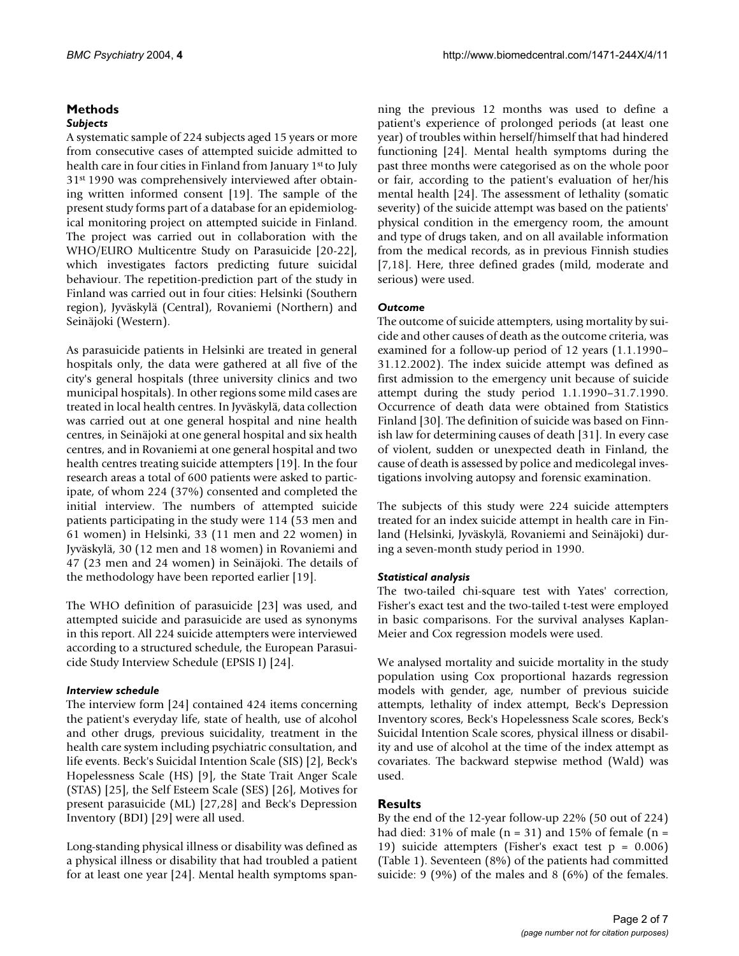# **Methods** *Subjects*

A systematic sample of 224 subjects aged 15 years or more from consecutive cases of attempted suicide admitted to health care in four cities in Finland from January 1st to July 31st 1990 was comprehensively interviewed after obtaining written informed consent [19]. The sample of the present study forms part of a database for an epidemiological monitoring project on attempted suicide in Finland. The project was carried out in collaboration with the WHO/EURO Multicentre Study on Parasuicide [20-22], which investigates factors predicting future suicidal behaviour. The repetition-prediction part of the study in Finland was carried out in four cities: Helsinki (Southern region), Jyväskylä (Central), Rovaniemi (Northern) and Seinäjoki (Western).

As parasuicide patients in Helsinki are treated in general hospitals only, the data were gathered at all five of the city's general hospitals (three university clinics and two municipal hospitals). In other regions some mild cases are treated in local health centres. In Jyväskylä, data collection was carried out at one general hospital and nine health centres, in Seinäjoki at one general hospital and six health centres, and in Rovaniemi at one general hospital and two health centres treating suicide attempters [19]. In the four research areas a total of 600 patients were asked to participate, of whom 224 (37%) consented and completed the initial interview. The numbers of attempted suicide patients participating in the study were 114 (53 men and 61 women) in Helsinki, 33 (11 men and 22 women) in Jyväskylä, 30 (12 men and 18 women) in Rovaniemi and 47 (23 men and 24 women) in Seinäjoki. The details of the methodology have been reported earlier [19].

The WHO definition of parasuicide [23] was used, and attempted suicide and parasuicide are used as synonyms in this report. All 224 suicide attempters were interviewed according to a structured schedule, the European Parasuicide Study Interview Schedule (EPSIS I) [24].

# *Interview schedule*

The interview form [24] contained 424 items concerning the patient's everyday life, state of health, use of alcohol and other drugs, previous suicidality, treatment in the health care system including psychiatric consultation, and life events. Beck's Suicidal Intention Scale (SIS) [2], Beck's Hopelessness Scale (HS) [9], the State Trait Anger Scale (STAS) [25], the Self Esteem Scale (SES) [26], Motives for present parasuicide (ML) [27,28] and Beck's Depression Inventory (BDI) [29] were all used.

Long-standing physical illness or disability was defined as a physical illness or disability that had troubled a patient for at least one year [24]. Mental health symptoms spanning the previous 12 months was used to define a patient's experience of prolonged periods (at least one year) of troubles within herself/himself that had hindered functioning [24]. Mental health symptoms during the past three months were categorised as on the whole poor or fair, according to the patient's evaluation of her/his mental health [24]. The assessment of lethality (somatic severity) of the suicide attempt was based on the patients' physical condition in the emergency room, the amount and type of drugs taken, and on all available information from the medical records, as in previous Finnish studies [7,18]. Here, three defined grades (mild, moderate and serious) were used.

# *Outcome*

The outcome of suicide attempters, using mortality by suicide and other causes of death as the outcome criteria, was examined for a follow-up period of 12 years (1.1.1990– 31.12.2002). The index suicide attempt was defined as first admission to the emergency unit because of suicide attempt during the study period 1.1.1990–31.7.1990. Occurrence of death data were obtained from Statistics Finland [30]. The definition of suicide was based on Finnish law for determining causes of death [31]. In every case of violent, sudden or unexpected death in Finland, the cause of death is assessed by police and medicolegal investigations involving autopsy and forensic examination.

The subjects of this study were 224 suicide attempters treated for an index suicide attempt in health care in Finland (Helsinki, Jyväskylä, Rovaniemi and Seinäjoki) during a seven-month study period in 1990.

# *Statistical analysis*

The two-tailed chi-square test with Yates' correction, Fisher's exact test and the two-tailed t-test were employed in basic comparisons. For the survival analyses Kaplan-Meier and Cox regression models were used.

We analysed mortality and suicide mortality in the study population using Cox proportional hazards regression models with gender, age, number of previous suicide attempts, lethality of index attempt, Beck's Depression Inventory scores, Beck's Hopelessness Scale scores, Beck's Suicidal Intention Scale scores, physical illness or disability and use of alcohol at the time of the index attempt as covariates. The backward stepwise method (Wald) was used.

# **Results**

By the end of the 12-year follow-up 22% (50 out of 224) had died: 31% of male ( $n = 31$ ) and 15% of female ( $n =$ 19) suicide attempters (Fisher's exact test p = 0.006) (Table [1\)](#page-3-0). Seventeen (8%) of the patients had committed suicide: 9 (9%) of the males and 8 (6%) of the females.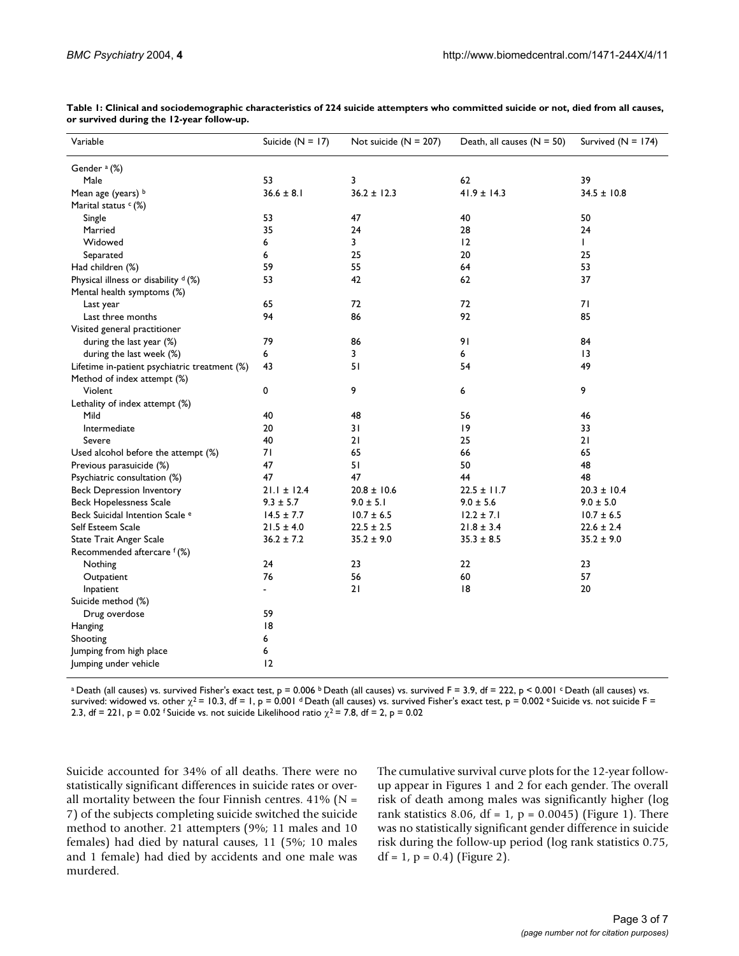| Variable                                      | Suicide ( $N = 17$ ) | Not suicide $(N = 207)$ | Death, all causes $(N = 50)$ | Survived $(N = 174)$ |
|-----------------------------------------------|----------------------|-------------------------|------------------------------|----------------------|
| Gender <sup>a</sup> (%)                       |                      |                         |                              |                      |
| Male                                          | 53                   | 3                       | 62                           | 39                   |
| Mean age (years) b                            | $36.6 \pm 8.1$       | $36.2 \pm 12.3$         | $41.9 \pm 14.3$              | $34.5 \pm 10.8$      |
| Marital status $c$ (%)                        |                      |                         |                              |                      |
| Single                                        | 53                   | 47                      | 40                           | 50                   |
| Married                                       | 35                   | 24                      | 28                           | 24                   |
| Widowed                                       | 6                    | 3                       | 12                           | L                    |
| Separated                                     | 6                    | 25                      | 20                           | 25                   |
| Had children (%)                              | 59                   | 55                      | 64                           | 53                   |
| Physical illness or disability d (%)          | 53                   | 42                      | 62                           | 37                   |
| Mental health symptoms (%)                    |                      |                         |                              |                      |
| Last year                                     | 65                   | 72                      | 72                           | 71                   |
| Last three months                             | 94                   | 86                      | 92                           | 85                   |
| Visited general practitioner                  |                      |                         |                              |                      |
| during the last year (%)                      | 79                   | 86                      | 91                           | 84                   |
| during the last week (%)                      | 6                    | 3                       | 6                            | 13                   |
| Lifetime in-patient psychiatric treatment (%) | 43                   | 51                      | 54                           | 49                   |
| Method of index attempt (%)                   |                      |                         |                              |                      |
| Violent                                       | 0                    | 9                       | 6                            | 9                    |
| Lethality of index attempt (%)                |                      |                         |                              |                      |
| Mild                                          | 40                   | 48                      | 56                           | 46                   |
| Intermediate                                  | 20                   | 31                      | 19                           | 33                   |
| Severe                                        | 40                   | 21                      | 25                           | 21                   |
| Used alcohol before the attempt (%)           | 71                   | 65                      | 66                           | 65                   |
| Previous parasuicide (%)                      | 47                   | 51                      | 50                           | 48                   |
| Psychiatric consultation (%)                  | 47                   | 47                      | 44                           | 48                   |
| <b>Beck Depression Inventory</b>              | $21.1 \pm 12.4$      | $20.8 \pm 10.6$         | $22.5 \pm 11.7$              | $20.3 \pm 10.4$      |
| <b>Beck Hopelessness Scale</b>                | $9.3 \pm 5.7$        | $9.0 \pm 5.1$           | $9.0 \pm 5.6$                | $9.0 \pm 5.0$        |
| Beck Suicidal Intention Scale <sup>e</sup>    | $14.5 \pm 7.7$       | $10.7 \pm 6.5$          | $12.2 \pm 7.1$               | $10.7 \pm 6.5$       |
| Self Esteem Scale                             | $21.5 \pm 4.0$       | $22.5 \pm 2.5$          | $21.8 \pm 3.4$               | $22.6 \pm 2.4$       |
| State Trait Anger Scale                       | $36.2 \pm 7.2$       | $35.2 \pm 9.0$          | $35.3 \pm 8.5$               | $35.2 \pm 9.0$       |
| Recommended aftercare f(%)                    |                      |                         |                              |                      |
| Nothing                                       | 24                   | 23                      | 22                           | 23                   |
| Outpatient                                    | 76                   | 56                      | 60                           | 57                   |
| Inpatient                                     | $\blacksquare$       | 21                      | 8                            | 20                   |
| Suicide method (%)                            |                      |                         |                              |                      |
| Drug overdose                                 | 59                   |                         |                              |                      |
| Hanging                                       | 18                   |                         |                              |                      |
| Shooting                                      | 6                    |                         |                              |                      |
| Jumping from high place                       | 6                    |                         |                              |                      |
| Jumping under vehicle                         | 12                   |                         |                              |                      |

<span id="page-3-0"></span>**Table 1: Clinical and sociodemographic characteristics of 224 suicide attempters who committed suicide or not, died from all causes, or survived during the 12-year follow-up.**

<sup>a</sup> Death (all causes) vs. survived Fisher's exact test, p = 0.006 <sup>b</sup> Death (all causes) vs. survived F = 3.9, df = 222, p < 0.001 < Death (all causes) vs. survived: widowed vs. other  $\chi^2$  = 10.3, df = 1, p = 0.001 d Death (all causes) vs. survived Fisher's exact test, p = 0.002 e Suicide vs. not suicide F = 2.3, df = 221, p = 0.02 f Suicide vs. not suicide Likelihood ratio  $\chi^2$  = 7.8, df = 2, p = 0.02

Suicide accounted for 34% of all deaths. There were no statistically significant differences in suicide rates or overall mortality between the four Finnish centres.  $41\%$  (N = 7) of the subjects completing suicide switched the suicide method to another. 21 attempters (9%; 11 males and 10 females) had died by natural causes, 11 (5%; 10 males and 1 female) had died by accidents and one male was murdered.

The cumulative survival curve plots for the 12-year followup appear in Figures 1 and 2 for each gender. The overall risk of death among males was significantly higher (log rank statistics 8.06, df = 1,  $p = 0.0045$ ) (Figure 1). There was no statistically significant gender difference in suicide risk during the follow-up period (log rank statistics 0.75,  $df = 1$ ,  $p = 0.4$ ) (Figure 2).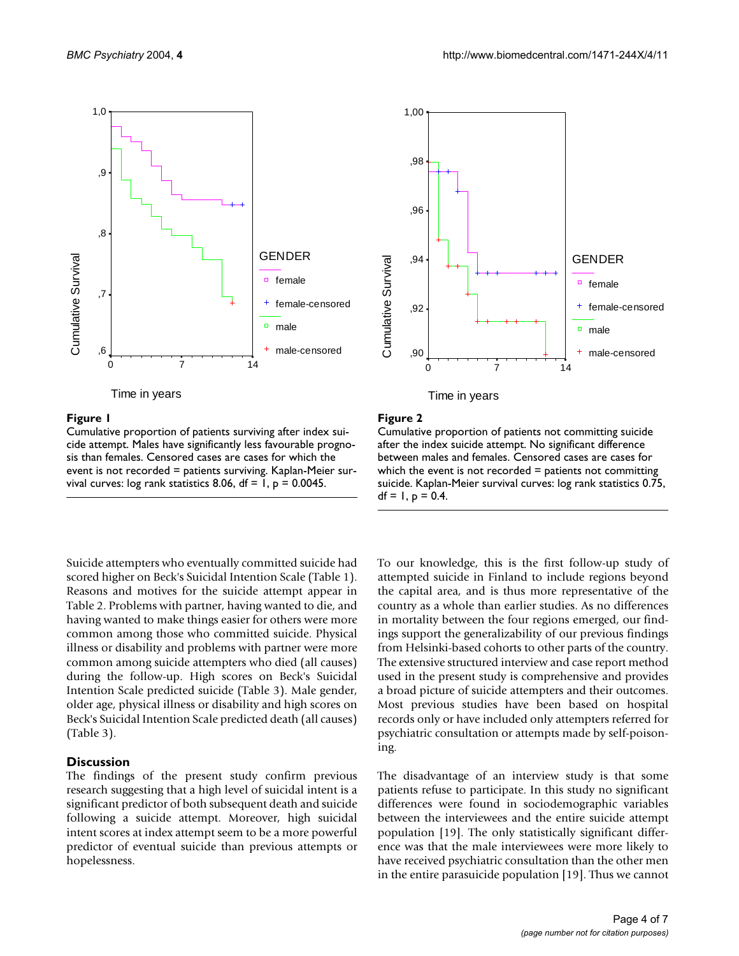

Time in years

### Figure 1

Cumulative proportion of patients surviving after index suicide attempt. Males have significantly less favourable prognosis than females. Censored cases are cases for which the event is not recorded = patients surviving. Kaplan-Meier survival curves: log rank statistics 8.06,  $df = 1$ ,  $p = 0.0045$ .

Suicide attempters who eventually committed suicide had scored higher on Beck's Suicidal Intention Scale (Table [1\)](#page-3-0). Reasons and motives for the suicide attempt appear in Table [2](#page-5-0). Problems with partner, having wanted to die, and having wanted to make things easier for others were more common among those who committed suicide. Physical illness or disability and problems with partner were more common among suicide attempters who died (all causes) during the follow-up. High scores on Beck's Suicidal Intention Scale predicted suicide (Table [3\)](#page-6-0). Male gender, older age, physical illness or disability and high scores on Beck's Suicidal Intention Scale predicted death (all causes) (Table [3\)](#page-6-0).

### **Discussion**

The findings of the present study confirm previous research suggesting that a high level of suicidal intent is a significant predictor of both subsequent death and suicide following a suicide attempt. Moreover, high suicidal intent scores at index attempt seem to be a more powerful predictor of eventual suicide than previous attempts or hopelessness.



#### Figure 2

Cumulative proportion of patients not committing suicide after the index suicide attempt. No significant difference between males and females. Censored cases are cases for which the event is not recorded  $=$  patients not committing suicide. Kaplan-Meier survival curves: log rank statistics 0.75,  $df = 1$ ,  $p = 0.4$ .

To our knowledge, this is the first follow-up study of attempted suicide in Finland to include regions beyond the capital area, and is thus more representative of the country as a whole than earlier studies. As no differences in mortality between the four regions emerged, our findings support the generalizability of our previous findings from Helsinki-based cohorts to other parts of the country. The extensive structured interview and case report method used in the present study is comprehensive and provides a broad picture of suicide attempters and their outcomes. Most previous studies have been based on hospital records only or have included only attempters referred for psychiatric consultation or attempts made by self-poisoning.

The disadvantage of an interview study is that some patients refuse to participate. In this study no significant differences were found in sociodemographic variables between the interviewees and the entire suicide attempt population [19]. The only statistically significant difference was that the male interviewees were more likely to have received psychiatric consultation than the other men in the entire parasuicide population [19]. Thus we cannot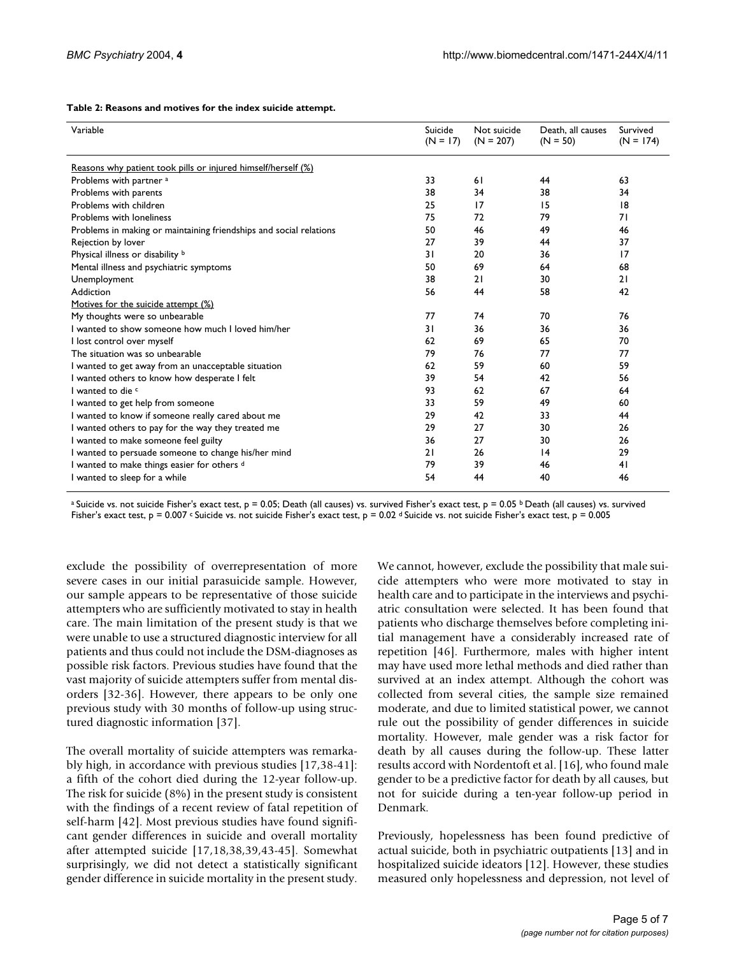| Variable                                                           | Suicide<br>$(N = 17)$ | Not suicide<br>$(N = 207)$ | Death, all causes<br>$(N = 50)$ | Survived<br>$(N = 174)$ |
|--------------------------------------------------------------------|-----------------------|----------------------------|---------------------------------|-------------------------|
|                                                                    |                       |                            |                                 |                         |
| Reasons why patient took pills or injured himself/herself (%)      |                       |                            |                                 |                         |
| Problems with partner <sup>a</sup>                                 | 33                    | 61                         | 44                              | 63                      |
| Problems with parents                                              | 38                    | 34                         | 38                              | 34                      |
| Problems with children                                             | 25                    | 17                         | 15                              | 18                      |
| Problems with loneliness                                           | 75                    | 72                         | 79                              | 71                      |
| Problems in making or maintaining friendships and social relations | 50                    | 46                         | 49                              | 46                      |
| Rejection by lover                                                 | 27                    | 39                         | 44                              | 37                      |
| Physical illness or disability b                                   | 31                    | 20                         | 36                              | 17                      |
| Mental illness and psychiatric symptoms                            | 50                    | 69                         | 64                              | 68                      |
| Unemployment                                                       | 38                    | 21                         | 30                              | 21                      |
| Addiction                                                          | 56                    | 44                         | 58                              | 42                      |
| Motives for the suicide attempt (%)                                |                       |                            |                                 |                         |
| My thoughts were so unbearable                                     | 77                    | 74                         | 70                              | 76                      |
| I wanted to show someone how much I loved him/her                  | 31                    | 36                         | 36                              | 36                      |
| I lost control over myself                                         | 62                    | 69                         | 65                              | 70                      |
| The situation was so unbearable                                    | 79                    | 76                         | 77                              | 77                      |
| I wanted to get away from an unacceptable situation                | 62                    | 59                         | 60                              | 59                      |
| I wanted others to know how desperate I felt                       | 39                    | 54                         | 42                              | 56                      |
| I wanted to die c                                                  | 93                    | 62                         | 67                              | 64                      |
| I wanted to get help from someone                                  | 33                    | 59                         | 49                              | 60                      |
| I wanted to know if someone really cared about me                  | 29                    | 42                         | 33                              | 44                      |
| I wanted others to pay for the way they treated me                 | 29                    | 27                         | 30                              | 26                      |
| I wanted to make someone feel guilty                               | 36                    | 27                         | 30                              | 26                      |
| I wanted to persuade someone to change his/her mind                | 21                    | 26                         | 4                               | 29                      |
| I wanted to make things easier for others d                        | 79                    | 39                         | 46                              | 41                      |
| I wanted to sleep for a while                                      | 54                    | 44                         | 40                              | 46                      |

#### <span id="page-5-0"></span>**Table 2: Reasons and motives for the index suicide attempt.**

<sup>a</sup> Suicide vs. not suicide Fisher's exact test, p = 0.05; Death (all causes) vs. survived Fisher's exact test, p = 0.05 <sup>b</sup> Death (all causes) vs. survived Fisher's exact test,  $p = 0.007$  c Suicide vs. not suicide Fisher's exact test,  $p = 0.02$  d Suicide vs. not suicide Fisher's exact test,  $p = 0.005$ 

exclude the possibility of overrepresentation of more severe cases in our initial parasuicide sample. However, our sample appears to be representative of those suicide attempters who are sufficiently motivated to stay in health care. The main limitation of the present study is that we were unable to use a structured diagnostic interview for all patients and thus could not include the DSM-diagnoses as possible risk factors. Previous studies have found that the vast majority of suicide attempters suffer from mental disorders [32-36]. However, there appears to be only one previous study with 30 months of follow-up using structured diagnostic information [37].

The overall mortality of suicide attempters was remarkably high, in accordance with previous studies [17,38-41]: a fifth of the cohort died during the 12-year follow-up. The risk for suicide (8%) in the present study is consistent with the findings of a recent review of fatal repetition of self-harm [42]. Most previous studies have found significant gender differences in suicide and overall mortality after attempted suicide [17,18,38,39,43-45]. Somewhat surprisingly, we did not detect a statistically significant gender difference in suicide mortality in the present study.

We cannot, however, exclude the possibility that male suicide attempters who were more motivated to stay in health care and to participate in the interviews and psychiatric consultation were selected. It has been found that patients who discharge themselves before completing initial management have a considerably increased rate of repetition [46]. Furthermore, males with higher intent may have used more lethal methods and died rather than survived at an index attempt. Although the cohort was collected from several cities, the sample size remained moderate, and due to limited statistical power, we cannot rule out the possibility of gender differences in suicide mortality. However, male gender was a risk factor for death by all causes during the follow-up. These latter results accord with Nordentoft et al. [16], who found male gender to be a predictive factor for death by all causes, but not for suicide during a ten-year follow-up period in Denmark.

Previously, hopelessness has been found predictive of actual suicide, both in psychiatric outpatients [13] and in hospitalized suicide ideators [12]. However, these studies measured only hopelessness and depression, not level of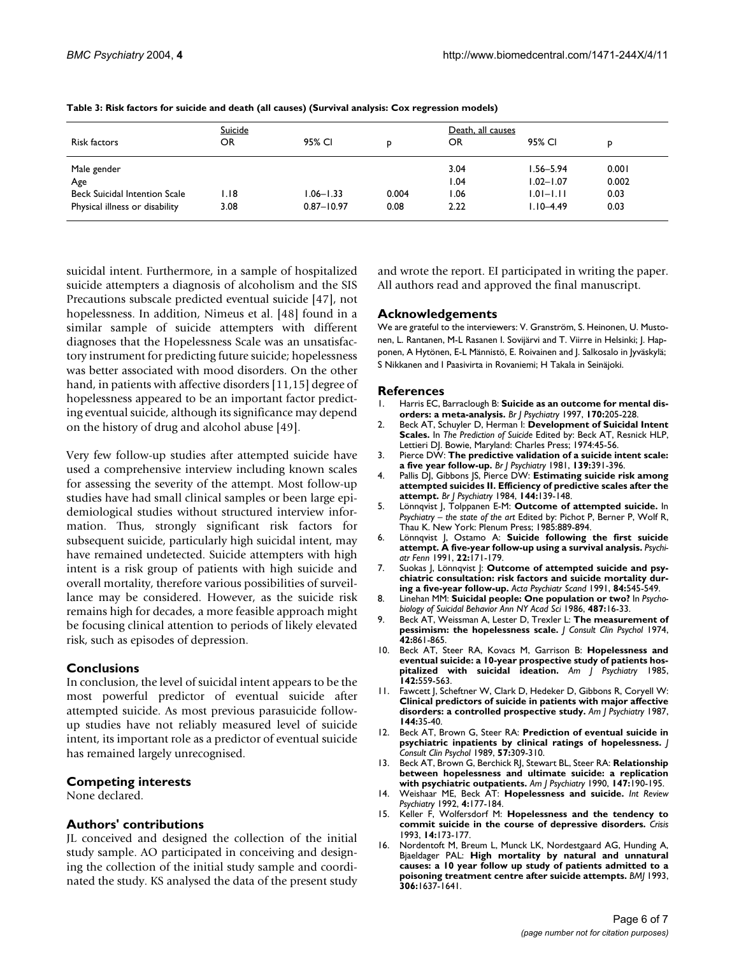| Risk factors                         | Suicide<br>OR | 95% CI         | D     | Death, all causes<br>OR | 95% CI        | D     |
|--------------------------------------|---------------|----------------|-------|-------------------------|---------------|-------|
| Male gender                          |               |                |       | 3.04                    | $1.56 - 5.94$ | 0.001 |
| Age                                  |               |                |       | 1.04                    | $1.02 - 1.07$ | 0.002 |
| <b>Beck Suicidal Intention Scale</b> | I.I8          | $1.06 - 1.33$  | 0.004 | 1.06                    | $1.01 - 1.11$ | 0.03  |
| Physical illness or disability       | 3.08          | $0.87 - 10.97$ | 0.08  | 2.22                    | $1.10 - 4.49$ | 0.03  |

<span id="page-6-0"></span>**Table 3: Risk factors for suicide and death (all causes) (Survival analysis: Cox regression models)**

suicidal intent. Furthermore, in a sample of hospitalized suicide attempters a diagnosis of alcoholism and the SIS Precautions subscale predicted eventual suicide [47], not hopelessness. In addition, Nimeus et al. [48] found in a similar sample of suicide attempters with different diagnoses that the Hopelessness Scale was an unsatisfactory instrument for predicting future suicide; hopelessness was better associated with mood disorders. On the other hand, in patients with affective disorders [11,15] degree of hopelessness appeared to be an important factor predicting eventual suicide, although its significance may depend on the history of drug and alcohol abuse [49].

Very few follow-up studies after attempted suicide have used a comprehensive interview including known scales for assessing the severity of the attempt. Most follow-up studies have had small clinical samples or been large epidemiological studies without structured interview information. Thus, strongly significant risk factors for subsequent suicide, particularly high suicidal intent, may have remained undetected. Suicide attempters with high intent is a risk group of patients with high suicide and overall mortality, therefore various possibilities of surveillance may be considered. However, as the suicide risk remains high for decades, a more feasible approach might be focusing clinical attention to periods of likely elevated risk, such as episodes of depression.

# **Conclusions**

In conclusion, the level of suicidal intent appears to be the most powerful predictor of eventual suicide after attempted suicide. As most previous parasuicide followup studies have not reliably measured level of suicide intent, its important role as a predictor of eventual suicide has remained largely unrecognised.

# **Competing interests**

None declared.

# **Authors' contributions**

JL conceived and designed the collection of the initial study sample. AO participated in conceiving and designing the collection of the initial study sample and coordinated the study. KS analysed the data of the present study and wrote the report. EI participated in writing the paper. All authors read and approved the final manuscript.

# **Acknowledgements**

We are grateful to the interviewers: V. Granström, S. Heinonen, U. Mustonen, L. Rantanen, M-L Rasanen I. Sovijärvi and T. Viirre in Helsinki; J. Happonen, A Hytönen, E-L Männistö, E. Roivainen and J. Salkosalo in Jyväskylä; S Nikkanen and I Paasivirta in Rovaniemi; H Takala in Seinäjoki.

# **References**

- Harris EC, Barraclough B: [Suicide as an outcome for mental dis](http://www.ncbi.nlm.nih.gov/entrez/query.fcgi?cmd=Retrieve&db=PubMed&dopt=Abstract&list_uids=9229027)**[orders: a meta-analysis.](http://www.ncbi.nlm.nih.gov/entrez/query.fcgi?cmd=Retrieve&db=PubMed&dopt=Abstract&list_uids=9229027)** *Br J Psychiatry* 1997, **170:**205-228.
- 2. Beck AT, Schuyler D, Herman I: **Development of Suicidal Intent Scales.** In *The Prediction of Suicide* Edited by: Beck AT, Resnick HLP, Lettieri DJ. Bowie, Maryland: Charles Press; 1974:45-56.
- 3. Pierce DW: **[The predictive validation of a suicide intent scale:](http://www.ncbi.nlm.nih.gov/entrez/query.fcgi?cmd=Retrieve&db=PubMed&dopt=Abstract&list_uids=7332842) [a five year follow-up.](http://www.ncbi.nlm.nih.gov/entrez/query.fcgi?cmd=Retrieve&db=PubMed&dopt=Abstract&list_uids=7332842)** *Br J Psychiatry* 1981, **139:**391-396.
- 4. Pallis DJ, Gibbons JS, Pierce DW: **[Estimating suicide risk among](http://www.ncbi.nlm.nih.gov/entrez/query.fcgi?cmd=Retrieve&db=PubMed&dopt=Abstract&list_uids=6704599) [attempted suicides II. Efficiency of predictive scales after the](http://www.ncbi.nlm.nih.gov/entrez/query.fcgi?cmd=Retrieve&db=PubMed&dopt=Abstract&list_uids=6704599) [attempt.](http://www.ncbi.nlm.nih.gov/entrez/query.fcgi?cmd=Retrieve&db=PubMed&dopt=Abstract&list_uids=6704599)** *Br J Psychiatry* 1984, **144:**139-148.
- 5. Lönnqvist J, Tolppanen E-M: **Outcome of attempted suicide.** In *Psychiatry – the state of the art* Edited by: Pichot P, Berner P, Wolf R, Thau K. New York: Plenum Press; 1985:889-894.
- 6. Lönnqvist J, Ostamo A: **Suicide following the first suicide attempt. A five-year follow-up using a survival analysis.** *Psychiatr Fenn* 1991, **22:**171-179.
- 7. Suokas J, Lönnqvist J: **[Outcome of attempted suicide and psy](http://www.ncbi.nlm.nih.gov/entrez/query.fcgi?cmd=Retrieve&db=PubMed&dopt=Abstract&list_uids=1792928)[chiatric consultation: risk factors and suicide mortality dur](http://www.ncbi.nlm.nih.gov/entrez/query.fcgi?cmd=Retrieve&db=PubMed&dopt=Abstract&list_uids=1792928)[ing a five-year follow-up.](http://www.ncbi.nlm.nih.gov/entrez/query.fcgi?cmd=Retrieve&db=PubMed&dopt=Abstract&list_uids=1792928)** *Acta Psychiatr Scand* 1991, **84:**545-549.
- 8. Linehan MM: **Suicidal people: One population or two?** In *Psychobiology of Suicidal Behavior Ann NY Acad Sci* 1986, **487:**16-33.
- 9. Beck AT, Weissman A, Lester D, Trexler L: **[The measurement of](http://www.ncbi.nlm.nih.gov/entrez/query.fcgi?cmd=Retrieve&db=PubMed&dopt=Abstract&list_uids=4436473) [pessimism: the hopelessness scale.](http://www.ncbi.nlm.nih.gov/entrez/query.fcgi?cmd=Retrieve&db=PubMed&dopt=Abstract&list_uids=4436473)** *J Consult Clin Psychol* 1974, **42:**861-865.
- 10. Beck AT, Steer RA, Kovacs M, Garrison B: **[Hopelessness and](http://www.ncbi.nlm.nih.gov/entrez/query.fcgi?cmd=Retrieve&db=PubMed&dopt=Abstract&list_uids=3985195) [eventual suicide: a 10-year prospective study of patients hos](http://www.ncbi.nlm.nih.gov/entrez/query.fcgi?cmd=Retrieve&db=PubMed&dopt=Abstract&list_uids=3985195)[pitalized with suicidal ideation.](http://www.ncbi.nlm.nih.gov/entrez/query.fcgi?cmd=Retrieve&db=PubMed&dopt=Abstract&list_uids=3985195)** *Am J Psychiatry* 1985, **142:**559-563.
- 11. Fawcett J, Scheftner W, Clark D, Hedeker D, Gibbons R, Coryell W: **[Clinical predictors of suicide in patients with major affective](http://www.ncbi.nlm.nih.gov/entrez/query.fcgi?cmd=Retrieve&db=PubMed&dopt=Abstract&list_uids=3799837) [disorders: a controlled prospective study.](http://www.ncbi.nlm.nih.gov/entrez/query.fcgi?cmd=Retrieve&db=PubMed&dopt=Abstract&list_uids=3799837)** *Am J Psychiatry* 1987, **144:**35-40.
- 12. Beck AT, Brown G, Steer RA: **[Prediction of eventual suicide in](http://www.ncbi.nlm.nih.gov/entrez/query.fcgi?cmd=Retrieve&db=PubMed&dopt=Abstract&list_uids=10.1037//0022-006X.57.2.309) [psychiatric inpatients by clinical ratings of hopelessness](http://www.ncbi.nlm.nih.gov/entrez/query.fcgi?cmd=Retrieve&db=PubMed&dopt=Abstract&list_uids=10.1037//0022-006X.57.2.309)[.](http://www.ncbi.nlm.nih.gov/entrez/query.fcgi?cmd=Retrieve&db=PubMed&dopt=Abstract&list_uids=2708621)** *J Consult Clin Psychol* 1989, **57:**309-310.
- 13. Beck AT, Brown G, Berchick RJ, Stewart BL, Steer RA: **[Relationship](http://www.ncbi.nlm.nih.gov/entrez/query.fcgi?cmd=Retrieve&db=PubMed&dopt=Abstract&list_uids=2278535) [between hopelessness and ultimate suicide: a replication](http://www.ncbi.nlm.nih.gov/entrez/query.fcgi?cmd=Retrieve&db=PubMed&dopt=Abstract&list_uids=2278535) [with psychiatric outpatients.](http://www.ncbi.nlm.nih.gov/entrez/query.fcgi?cmd=Retrieve&db=PubMed&dopt=Abstract&list_uids=2278535)** *Am J Psychiatry* 1990, **147:**190-195.
- 14. Weishaar ME, Beck AT: **Hopelessness and suicide.** *Int Review Psychiatry* 1992, **4:**177-184.
- 15. Keller F, Wolfersdorf M: **[Hopelessness and the tendency to](http://www.ncbi.nlm.nih.gov/entrez/query.fcgi?cmd=Retrieve&db=PubMed&dopt=Abstract&list_uids=8156815) [commit suicide in the course of depressive disorders.](http://www.ncbi.nlm.nih.gov/entrez/query.fcgi?cmd=Retrieve&db=PubMed&dopt=Abstract&list_uids=8156815)** *Crisis* 1993, **14:**173-177.
- 16. Nordentoft M, Breum L, Munck LK, Nordestgaard AG, Hunding A, Bjaeldager PAL: **[High mortality by natural and unnatural](http://www.ncbi.nlm.nih.gov/entrez/query.fcgi?cmd=Retrieve&db=PubMed&dopt=Abstract&list_uids=8324430) [causes: a 10 year follow up study of patients admitted to a](http://www.ncbi.nlm.nih.gov/entrez/query.fcgi?cmd=Retrieve&db=PubMed&dopt=Abstract&list_uids=8324430) [poisoning treatment centre after suicide attempts.](http://www.ncbi.nlm.nih.gov/entrez/query.fcgi?cmd=Retrieve&db=PubMed&dopt=Abstract&list_uids=8324430)** *BMJ* 1993, **306:**1637-1641.